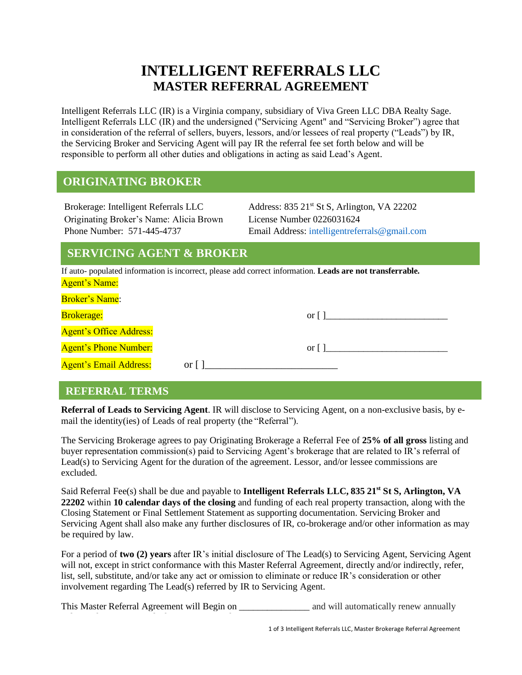# **INTELLIGENT REFERRALS LLC MASTER REFERRAL AGREEMENT**

Intelligent Referrals LLC (IR) is a Virginia company, subsidiary of Viva Green LLC DBA Realty Sage. Intelligent Referrals LLC (IR) and the undersigned ("Servicing Agent" and "Servicing Broker") agree that in consideration of the referral of sellers, buyers, lessors, and/or lessees of real property ("Leads") by IR, the Servicing Broker and Servicing Agent will pay IR the referral fee set forth below and will be responsible to perform all other duties and obligations in acting as said Lead's Agent.

# **ORIGINATING BROKER**

Originating Broker's Name: Alicia Brown License Number 0226031624

Brokerage: Intelligent Referrals LLC Address: 835 21<sup>st</sup> St S, Arlington, VA 22202 Phone Number: 571-445-4737 Email Address: [intelligentreferrals@gmail.com](mailto:intelligentreferrals@gmail.com)

## **SERVICING AGENT & BROKER**

If auto- populated information is incorrect, please add correct information. **Leads are not transferrable.** Agent's Name:

| <b>Broker's Name:</b>          |      |                    |  |
|--------------------------------|------|--------------------|--|
| <b>Brokerage:</b>              |      | or $\vert \ \vert$ |  |
| <b>Agent's Office Address:</b> |      |                    |  |
| <b>Agent's Phone Number:</b>   |      | $or \mid \mid$     |  |
| <b>Agent's Email Address:</b>  | or 1 |                    |  |

#### **REFERRAL TERMS**

**Referral of Leads to Servicing Agent**. IR will disclose to Servicing Agent, on a non-exclusive basis, by email the identity(ies) of Leads of real property (the "Referral").

The Servicing Brokerage agrees to pay Originating Brokerage a Referral Fee of **25% of all gross** listing and buyer representation commission(s) paid to Servicing Agent's brokerage that are related to IR's referral of Lead(s) to Servicing Agent for the duration of the agreement. Lessor, and/or lessee commissions are excluded.

Said Referral Fee(s) shall be due and payable to **Intelligent Referrals LLC, 835 21st St S, Arlington, VA 22202** within **10 calendar days of the closing** and funding of each real property transaction, along with the Closing Statement or Final Settlement Statement as supporting documentation. Servicing Broker and Servicing Agent shall also make any further disclosures of IR, co-brokerage and/or other information as may be required by law.

For a period of **two (2) years** after IR's initial disclosure of The Lead(s) to Servicing Agent, Servicing Agent will not, except in strict conformance with this Master Referral Agreement, directly and/or indirectly, refer, list, sell, substitute, and/or take any act or omission to eliminate or reduce IR's consideration or other involvement regarding The Lead(s) referred by IR to Servicing Agent.

This Master Referral Agreement will Begin on and will automatically renew annually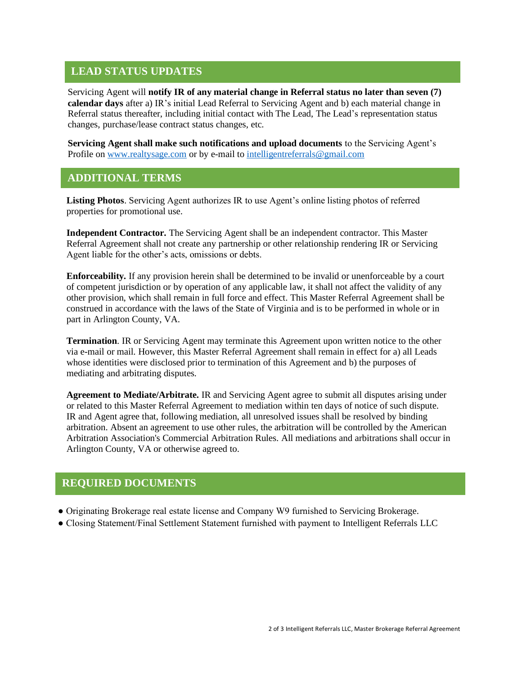#### **LEAD STATUS UPDATES**

Servicing Agent will **notify IR of any material change in Referral status no later than seven (7) calendar days** after a) IR's initial Lead Referral to Servicing Agent and b) each material change in Referral status thereafter, including initial contact with The Lead, The Lead's representation status changes, purchase/lease contract status changes, etc.

**Servicing Agent shall make such notifications and upload documents** to the Servicing Agent's Profile on [www.realtysage.com](http://www.realtysage.com/) or by e-mail to intelligent referrals@gmail.com

#### **ADDITIONAL TERMS**

**Listing Photos**. Servicing Agent authorizes IR to use Agent's online listing photos of referred properties for promotional use.

**Independent Contractor.** The Servicing Agent shall be an independent contractor. This Master Referral Agreement shall not create any partnership or other relationship rendering IR or Servicing Agent liable for the other's acts, omissions or debts.

**Enforceability.** If any provision herein shall be determined to be invalid or unenforceable by a court of competent jurisdiction or by operation of any applicable law, it shall not affect the validity of any other provision, which shall remain in full force and effect. This Master Referral Agreement shall be construed in accordance with the laws of the State of Virginia and is to be performed in whole or in part in Arlington County, VA.

**Termination**. IR or Servicing Agent may terminate this Agreement upon written notice to the other via e-mail or mail. However, this Master Referral Agreement shall remain in effect for a) all Leads whose identities were disclosed prior to termination of this Agreement and b) the purposes of mediating and arbitrating disputes.

**Agreement to Mediate/Arbitrate.** IR and Servicing Agent agree to submit all disputes arising under or related to this Master Referral Agreement to mediation within ten days of notice of such dispute. IR and Agent agree that, following mediation, all unresolved issues shall be resolved by binding arbitration. Absent an agreement to use other rules, the arbitration will be controlled by the American Arbitration Association's Commercial Arbitration Rules. All mediations and arbitrations shall occur in Arlington County, VA or otherwise agreed to.

#### **REQUIRED DOCUMENTS**

- Originating Brokerage real estate license and Company W9 furnished to Servicing Brokerage.
- Closing Statement/Final Settlement Statement furnished with payment to Intelligent Referrals LLC